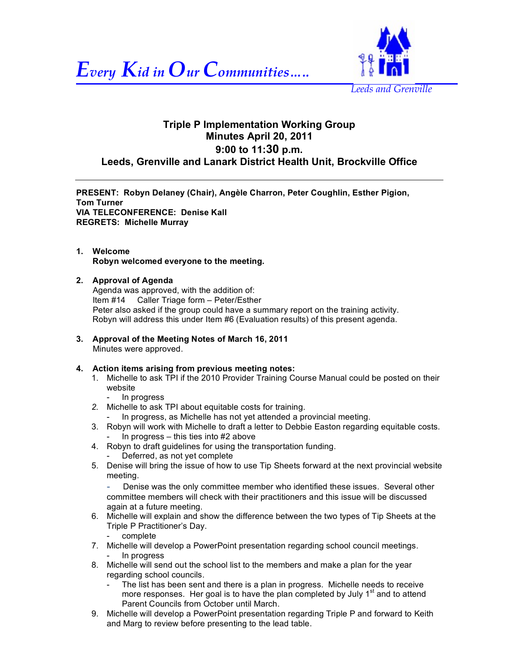



# **Triple P Implementation Working Group Minutes April 20, 2011 9:00 to 11:30 p.m. Leeds, Grenville and Lanark District Health Unit, Brockville Office**

**PRESENT: Robyn Delaney (Chair), Angèle Charron, Peter Coughlin, Esther Pigion, Tom Turner VIA TELECONFERENCE: Denise Kall REGRETS: Michelle Murray**

## **1. Welcome Robyn welcomed everyone to the meeting.**

## **2. Approval of Agenda**

Agenda was approved, with the addition of: Item #14 Caller Triage form – Peter/Esther Peter also asked if the group could have a summary report on the training activity. Robyn will address this under Item #6 (Evaluation results) of this present agenda.

**3. Approval of the Meeting Notes of March 16, 2011** Minutes were approved.

# **4. Action items arising from previous meeting notes:**

- 1. Michelle to ask TPI if the 2010 Provider Training Course Manual could be posted on their website
	- In progress
- *2.* Michelle to ask TPI about equitable costs for training.
	- In progress, as Michelle has not yet attended a provincial meeting.
- 3. Robyn will work with Michelle to draft a letter to Debbie Easton regarding equitable costs. In progress  $-$  this ties into  $#2$  above
- 4. Robyn to draft guidelines for using the transportation funding. Deferred, as not yet complete
- 5. Denise will bring the issue of how to use Tip Sheets forward at the next provincial website meeting.

Denise was the only committee member who identified these issues. Several other committee members will check with their practitioners and this issue will be discussed again at a future meeting.

- 6. Michelle will explain and show the difference between the two types of Tip Sheets at the Triple P Practitioner's Day.
	- complete
- 7. Michelle will develop a PowerPoint presentation regarding school council meetings. - In progress
- 8. Michelle will send out the school list to the members and make a plan for the year regarding school councils.
	- The list has been sent and there is a plan in progress. Michelle needs to receive more responses. Her goal is to have the plan completed by July  $1<sup>st</sup>$  and to attend Parent Councils from October until March.
- 9. Michelle will develop a PowerPoint presentation regarding Triple P and forward to Keith and Marg to review before presenting to the lead table.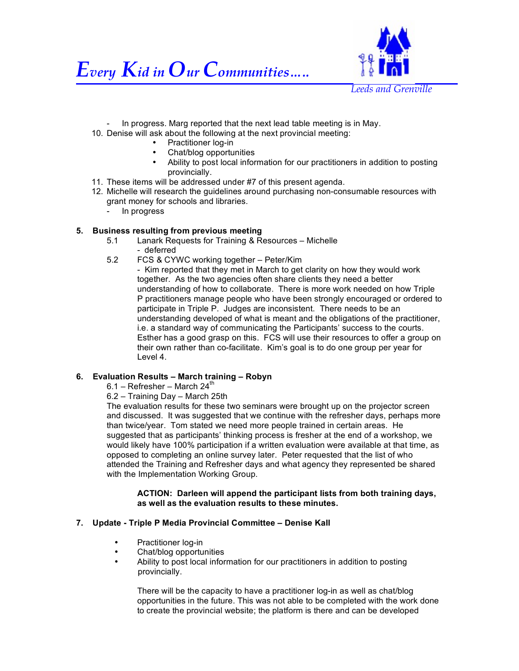



In progress. Marg reported that the next lead table meeting is in May.

- 10. Denise will ask about the following at the next provincial meeting:
	- Practitioner log-in
	- Chat/blog opportunities
	- Ability to post local information for our practitioners in addition to posting provincially.
- 11. These items will be addressed under #7 of this present agenda.
- 12. Michelle will research the guidelines around purchasing non-consumable resources with grant money for schools and libraries.
	- In progress

# **5. Business resulting from previous meeting**

- 5.1 Lanark Requests for Training & Resources Michelle - deferred
- 5.2 FCS & CYWC working together Peter/Kim

- Kim reported that they met in March to get clarity on how they would work together. As the two agencies often share clients they need a better understanding of how to collaborate. There is more work needed on how Triple P practitioners manage people who have been strongly encouraged or ordered to participate in Triple P. Judges are inconsistent. There needs to be an understanding developed of what is meant and the obligations of the practitioner, i.e. a standard way of communicating the Participants' success to the courts. Esther has a good grasp on this. FCS will use their resources to offer a group on their own rather than co-facilitate. Kim's goal is to do one group per year for Level 4.

## **6. Evaluation Results – March training – Robyn**

- $6.1 -$  Refresher March 24<sup>th</sup>
- 6.2 Training Day March 25th

The evaluation results for these two seminars were brought up on the projector screen and discussed. It was suggested that we continue with the refresher days, perhaps more than twice/year. Tom stated we need more people trained in certain areas. He suggested that as participants' thinking process is fresher at the end of a workshop, we would likely have 100% participation if a written evaluation were available at that time, as opposed to completing an online survey later. Peter requested that the list of who attended the Training and Refresher days and what agency they represented be shared with the Implementation Working Group.

**ACTION: Darleen will append the participant lists from both training days, as well as the evaluation results to these minutes.** 

## **7. Update - Triple P Media Provincial Committee – Denise Kall**

- Practitioner log-in
- Chat/blog opportunities
- Ability to post local information for our practitioners in addition to posting provincially.

There will be the capacity to have a practitioner log-in as well as chat/blog opportunities in the future. This was not able to be completed with the work done to create the provincial website; the platform is there and can be developed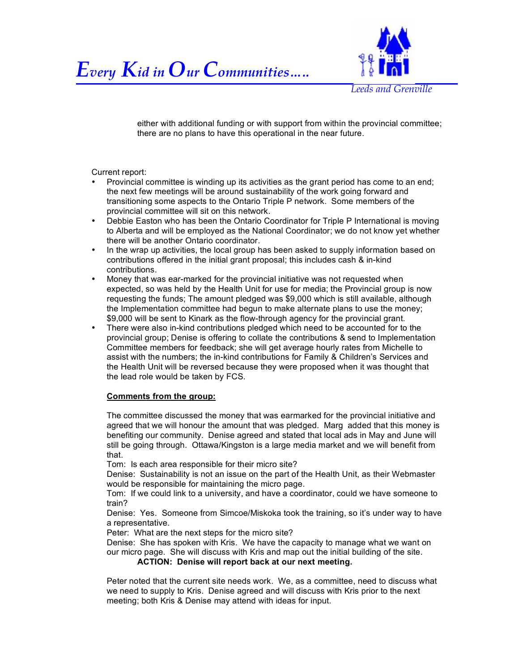



either with additional funding or with support from within the provincial committee; there are no plans to have this operational in the near future.

Current report:

- Provincial committee is winding up its activities as the grant period has come to an end; the next few meetings will be around sustainability of the work going forward and transitioning some aspects to the Ontario Triple P network. Some members of the provincial committee will sit on this network.
- Debbie Easton who has been the Ontario Coordinator for Triple P International is moving to Alberta and will be employed as the National Coordinator; we do not know yet whether there will be another Ontario coordinator.
- In the wrap up activities, the local group has been asked to supply information based on contributions offered in the initial grant proposal; this includes cash & in-kind contributions.
- Money that was ear-marked for the provincial initiative was not requested when expected, so was held by the Health Unit for use for media; the Provincial group is now requesting the funds; The amount pledged was \$9,000 which is still available, although the Implementation committee had begun to make alternate plans to use the money; \$9,000 will be sent to Kinark as the flow-through agency for the provincial grant.
- There were also in-kind contributions pledged which need to be accounted for to the provincial group; Denise is offering to collate the contributions & send to Implementation Committee members for feedback; she will get average hourly rates from Michelle to assist with the numbers; the in-kind contributions for Family & Children's Services and the Health Unit will be reversed because they were proposed when it was thought that the lead role would be taken by FCS.

#### **Comments from the group:**

The committee discussed the money that was earmarked for the provincial initiative and agreed that we will honour the amount that was pledged. Marg added that this money is benefiting our community. Denise agreed and stated that local ads in May and June will still be going through. Ottawa/Kingston is a large media market and we will benefit from that.

Tom: Is each area responsible for their micro site?

Denise: Sustainability is not an issue on the part of the Health Unit, as their Webmaster would be responsible for maintaining the micro page.

Tom: If we could link to a university, and have a coordinator, could we have someone to train?

Denise: Yes. Someone from Simcoe/Miskoka took the training, so it's under way to have a representative.

Peter: What are the next steps for the micro site?

Denise: She has spoken with Kris. We have the capacity to manage what we want on our micro page. She will discuss with Kris and map out the initial building of the site.

**ACTION: Denise will report back at our next meeting.**

Peter noted that the current site needs work. We, as a committee, need to discuss what we need to supply to Kris. Denise agreed and will discuss with Kris prior to the next meeting; both Kris & Denise may attend with ideas for input.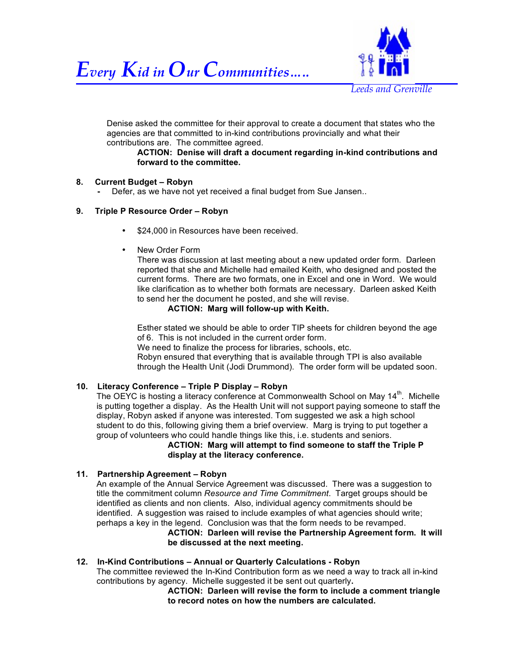



Denise asked the committee for their approval to create a document that states who the agencies are that committed to in-kind contributions provincially and what their contributions are. The committee agreed.

#### **ACTION: Denise will draft a document regarding in-kind contributions and forward to the committee.**

## **8. Current Budget – Robyn**

Defer, as we have not yet received a final budget from Sue Jansen..

## **9. Triple P Resource Order – Robyn**

- \$24,000 in Resources have been received.
- New Order Form

There was discussion at last meeting about a new updated order form. Darleen reported that she and Michelle had emailed Keith, who designed and posted the current forms. There are two formats, one in Excel and one in Word. We would like clarification as to whether both formats are necessary. Darleen asked Keith to send her the document he posted, and she will revise.

## **ACTION: Marg will follow-up with Keith.**

Esther stated we should be able to order TIP sheets for children beyond the age of 6. This is not included in the current order form.

We need to finalize the process for libraries, schools, etc.

Robyn ensured that everything that is available through TPI is also available through the Health Unit (Jodi Drummond). The order form will be updated soon.

## **10. Literacy Conference – Triple P Display – Robyn**

The OEYC is hosting a literacy conference at Commonwealth School on May 14<sup>th</sup>. Michelle is putting together a display. As the Health Unit will not support paying someone to staff the display, Robyn asked if anyone was interested. Tom suggested we ask a high school student to do this, following giving them a brief overview. Marg is trying to put together a group of volunteers who could handle things like this, i.e. students and seniors.

**ACTION: Marg will attempt to find someone to staff the Triple P display at the literacy conference.** 

#### **11. Partnership Agreement – Robyn**

An example of the Annual Service Agreement was discussed. There was a suggestion to title the commitment column *Resource and Time Commitment*. Target groups should be identified as clients and non clients. Also, individual agency commitments should be identified. A suggestion was raised to include examples of what agencies should write; perhaps a key in the legend. Conclusion was that the form needs to be revamped.

#### **ACTION: Darleen will revise the Partnership Agreement form. It will be discussed at the next meeting.**

**12. In-Kind Contributions – Annual or Quarterly Calculations - Robyn** The committee reviewed the In-Kind Contribution form as we need a way to track all in-kind contributions by agency. Michelle suggested it be sent out quarterly**.**

**ACTION: Darleen will revise the form to include a comment triangle to record notes on how the numbers are calculated.**